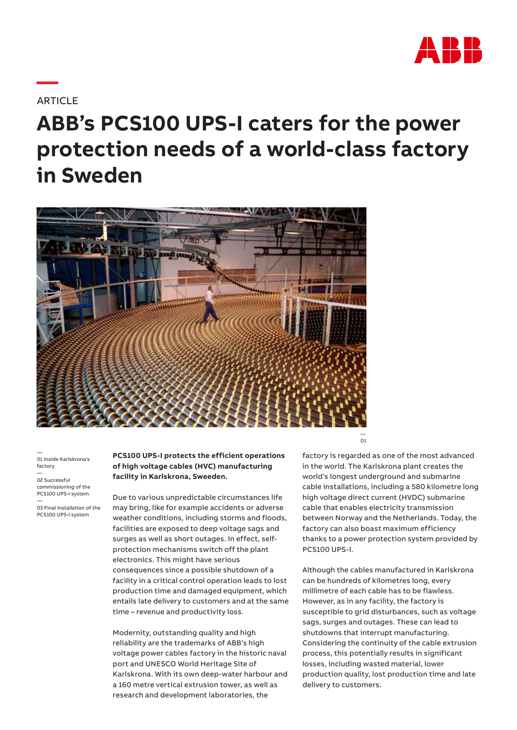

## **ARTICLE**

**—**

# **ABB's PCS100 UPS-I caters for the power protection needs of a world-class factory in Sweden**



— 01 Inside Karlskrona's factory

— 02 Successful commissioning of the PCS100 UPS-I system

—

03 Final installation of the PCS100 UPS-I system

### **PCS100 UPS-I protects the efficient operations of high voltage cables (HVC) manufacturing facility in Karlskrona, Sweeden.**

Due to various unpredictable circumstances life may bring, like for example accidents or adverse weather conditions, including storms and floods, facilities are exposed to deep voltage sags and surges as well as short outages. In effect, selfprotection mechanisms switch off the plant electronics. This might have serious consequences since a possible shutdown of a facility in a critical control operation leads to lost production time and damaged equipment, which entails late delivery to customers and at the same time – revenue and productivity loss.

Modernity, outstanding quality and high reliability are the trademarks of ABB's high voltage power cables factory in the historic naval port and UNESCO World Heritage Site of Karlskrona. With its own deep-water harbour and a 160 metre vertical extrusion tower, as well as research and development laboratories, the

01

factory is regarded as one of the most advanced in the world. The Karlskrona plant creates the world's longest underground and submarine cable installations, including a 580 kilometre long high voltage direct current (HVDC) submarine cable that enables electricity transmission between Norway and the Netherlands. Today, the factory can also boast maximum efficiency thanks to a power protection system provided by PCS100 UPS-I.

Although the cables manufactured in Karlskrona can be hundreds of kilometres long, every millimetre of each cable has to be flawless. However, as in any facility, the factory is susceptible to grid disturbances, such as voltage sags, surges and outages. These can lead to shutdowns that interrupt manufacturing. Considering the continuity of the cable extrusion process, this potentially results in significant losses, including wasted material, lower production quality, lost production time and late delivery to customers.